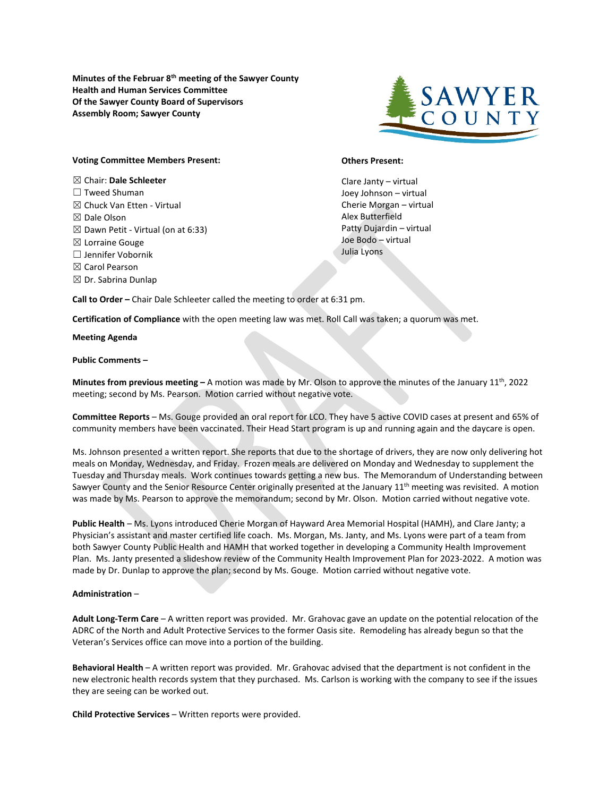**Minutes of the Februar 8th meeting of the Sawyer County Health and Human Services Committee Of the Sawyer County Board of Supervisors Assembly Room; Sawyer County**



## **Voting Committee Members Present:**

☒ Chair: **Dale Schleeter**  ☐ Tweed Shuman  $\boxtimes$  Chuck Van Etten - Virtual ☒ Dale Olson  $\boxtimes$  Dawn Petit - Virtual (on at 6:33) ☒ Lorraine Gouge ☐ Jennifer Vobornik ☒ Carol Pearson  $\boxtimes$  Dr. Sabrina Dunlap

## **Others Present:**

Clare Janty – virtual Joey Johnson – virtual Cherie Morgan – virtual Alex Butterfield Patty Dujardin – virtual Joe Bodo – virtual Julia Lyons

**Call to Order –** Chair Dale Schleeter called the meeting to order at 6:31 pm.

**Certification of Compliance** with the open meeting law was met. Roll Call was taken; a quorum was met.

**Meeting Agenda**

**Public Comments –**

**Minutes from previous meeting –** A motion was made by Mr. Olson to approve the minutes of the January 11th, 2022 meeting; second by Ms. Pearson. Motion carried without negative vote.

**Committee Reports** – Ms. Gouge provided an oral report for LCO. They have 5 active COVID cases at present and 65% of community members have been vaccinated. Their Head Start program is up and running again and the daycare is open.

Ms. Johnson presented a written report. She reports that due to the shortage of drivers, they are now only delivering hot meals on Monday, Wednesday, and Friday. Frozen meals are delivered on Monday and Wednesday to supplement the Tuesday and Thursday meals. Work continues towards getting a new bus. The Memorandum of Understanding between Sawyer County and the Senior Resource Center originally presented at the January 11<sup>th</sup> meeting was revisited. A motion was made by Ms. Pearson to approve the memorandum; second by Mr. Olson. Motion carried without negative vote.

**Public Health** – Ms. Lyons introduced Cherie Morgan of Hayward Area Memorial Hospital (HAMH), and Clare Janty; a Physician's assistant and master certified life coach. Ms. Morgan, Ms. Janty, and Ms. Lyons were part of a team from both Sawyer County Public Health and HAMH that worked together in developing a Community Health Improvement Plan. Ms. Janty presented a slideshow review of the Community Health Improvement Plan for 2023-2022. A motion was made by Dr. Dunlap to approve the plan; second by Ms. Gouge. Motion carried without negative vote.

## **Administration** –

**Adult Long-Term Care** – A written report was provided. Mr. Grahovac gave an update on the potential relocation of the ADRC of the North and Adult Protective Services to the former Oasis site. Remodeling has already begun so that the Veteran's Services office can move into a portion of the building.

**Behavioral Health** – A written report was provided. Mr. Grahovac advised that the department is not confident in the new electronic health records system that they purchased. Ms. Carlson is working with the company to see if the issues they are seeing can be worked out.

**Child Protective Services** – Written reports were provided.